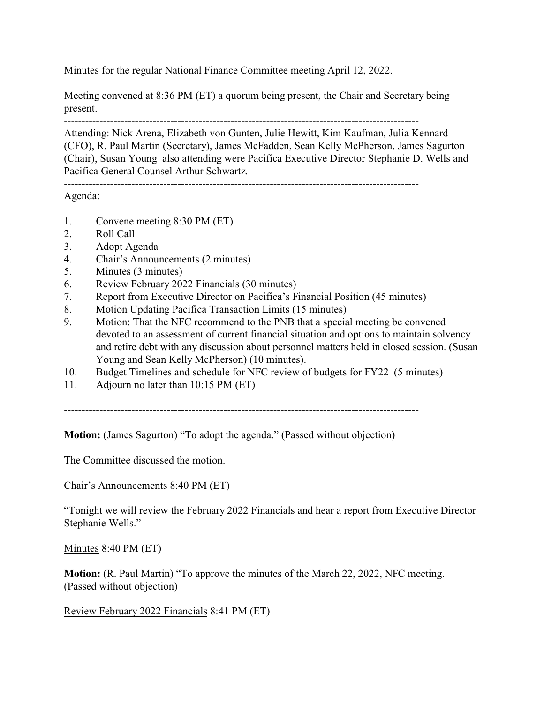Minutes for the regular National Finance Committee meeting April 12, 2022.

Meeting convened at 8:36 PM (ET) a quorum being present, the Chair and Secretary being present.

----------------------------------------------------------------------------------------------------

Attending: Nick Arena, Elizabeth von Gunten, Julie Hewitt, Kim Kaufman, Julia Kennard (CFO), R. Paul Martin (Secretary), James McFadden, Sean Kelly McPherson, James Sagurton (Chair), Susan Young also attending were Pacifica Executive Director Stephanie D. Wells and Pacifica General Counsel Arthur Schwartz.

----------------------------------------------------------------------------------------------------

Agenda:

- 1. Convene meeting 8:30 PM (ET)
- 2. Roll Call
- 3. Adopt Agenda
- 4. Chair's Announcements (2 minutes)
- 5. Minutes (3 minutes)
- 6. Review February 2022 Financials (30 minutes)
- 7. Report from Executive Director on Pacifica's Financial Position (45 minutes)
- 8. Motion Updating Pacifica Transaction Limits (15 minutes)
- 9. Motion: That the NFC recommend to the PNB that a special meeting be convened devoted to an assessment of current financial situation and options to maintain solvency and retire debt with any discussion about personnel matters held in closed session. (Susan Young and Sean Kelly McPherson) (10 minutes).
- 10. Budget Timelines and schedule for NFC review of budgets for FY22 (5 minutes)
- 11. Adjourn no later than 10:15 PM (ET)

----------------------------------------------------------------------------------------------------

**Motion:** (James Sagurton) "To adopt the agenda." (Passed without objection)

The Committee discussed the motion.

Chair's Announcements 8:40 PM (ET)

"Tonight we will review the February 2022 Financials and hear a report from Executive Director Stephanie Wells."

Minutes 8:40 PM (ET)

**Motion:** (R. Paul Martin) "To approve the minutes of the March 22, 2022, NFC meeting. (Passed without objection)

Review February 2022 Financials 8:41 PM (ET)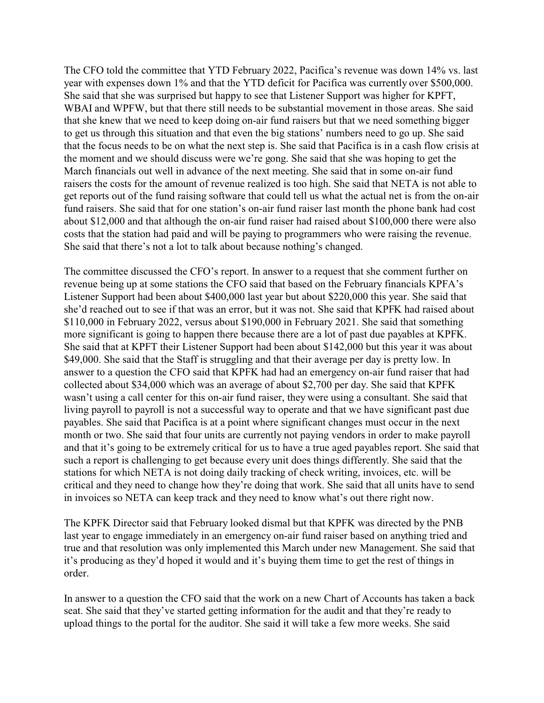The CFO told the committee that YTD February 2022, Pacifica's revenue was down 14% vs. last year with expenses down 1% and that the YTD deficit for Pacifica was currently over \$500,000. She said that she was surprised but happy to see that Listener Support was higher for KPFT, WBAI and WPFW, but that there still needs to be substantial movement in those areas. She said that she knew that we need to keep doing on-air fund raisers but that we need something bigger to get us through this situation and that even the big stations' numbers need to go up. She said that the focus needs to be on what the next step is. She said that Pacifica is in a cash flow crisis at the moment and we should discuss were we're gong. She said that she was hoping to get the March financials out well in advance of the next meeting. She said that in some on-air fund raisers the costs for the amount of revenue realized is too high. She said that NETA is not able to get reports out of the fund raising software that could tell us what the actual net is from the on-air fund raisers. She said that for one station's on-air fund raiser last month the phone bank had cost about \$12,000 and that although the on-air fund raiser had raised about \$100,000 there were also costs that the station had paid and will be paying to programmers who were raising the revenue. She said that there's not a lot to talk about because nothing's changed.

The committee discussed the CFO's report. In answer to a request that she comment further on revenue being up at some stations the CFO said that based on the February financials KPFA's Listener Support had been about \$400,000 last year but about \$220,000 this year. She said that she'd reached out to see if that was an error, but it was not. She said that KPFK had raised about \$110,000 in February 2022, versus about \$190,000 in February 2021. She said that something more significant is going to happen there because there are a lot of past due payables at KPFK. She said that at KPFT their Listener Support had been about \$142,000 but this year it was about \$49,000. She said that the Staff is struggling and that their average per day is pretty low. In answer to a question the CFO said that KPFK had had an emergency on-air fund raiser that had collected about \$34,000 which was an average of about \$2,700 per day. She said that KPFK wasn't using a call center for this on-air fund raiser, they were using a consultant. She said that living payroll to payroll is not a successful way to operate and that we have significant past due payables. She said that Pacifica is at a point where significant changes must occur in the next month or two. She said that four units are currently not paying vendors in order to make payroll and that it's going to be extremely critical for us to have a true aged payables report. She said that such a report is challenging to get because every unit does things differently. She said that the stations for which NETA is not doing daily tracking of check writing, invoices, etc. will be critical and they need to change how they're doing that work. She said that all units have to send in invoices so NETA can keep track and they need to know what's out there right now.

The KPFK Director said that February looked dismal but that KPFK was directed by the PNB last year to engage immediately in an emergency on-air fund raiser based on anything tried and true and that resolution was only implemented this March under new Management. She said that it's producing as they'd hoped it would and it's buying them time to get the rest of things in order.

In answer to a question the CFO said that the work on a new Chart of Accounts has taken a back seat. She said that they've started getting information for the audit and that they're ready to upload things to the portal for the auditor. She said it will take a few more weeks. She said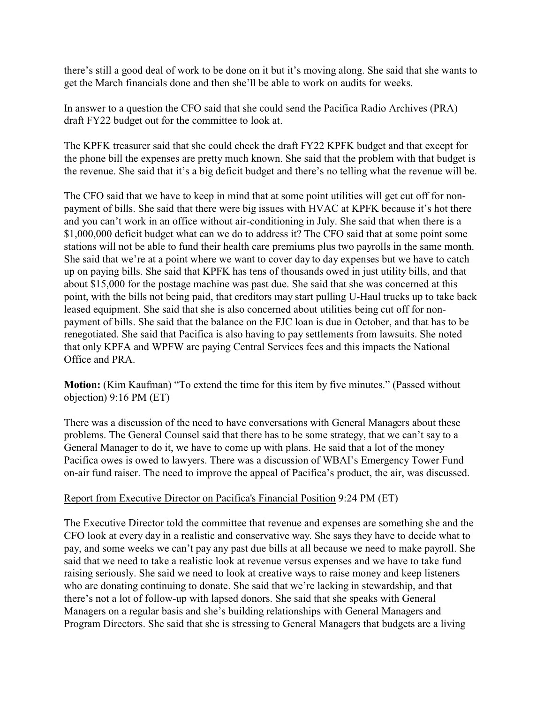there's still a good deal of work to be done on it but it's moving along. She said that she wants to get the March financials done and then she'll be able to work on audits for weeks.

In answer to a question the CFO said that she could send the Pacifica Radio Archives (PRA) draft FY22 budget out for the committee to look at.

The KPFK treasurer said that she could check the draft FY22 KPFK budget and that except for the phone bill the expenses are pretty much known. She said that the problem with that budget is the revenue. She said that it's a big deficit budget and there's no telling what the revenue will be.

The CFO said that we have to keep in mind that at some point utilities will get cut off for nonpayment of bills. She said that there were big issues with HVAC at KPFK because it's hot there and you can't work in an office without air-conditioning in July. She said that when there is a \$1,000,000 deficit budget what can we do to address it? The CFO said that at some point some stations will not be able to fund their health care premiums plus two payrolls in the same month. She said that we're at a point where we want to cover day to day expenses but we have to catch up on paying bills. She said that KPFK has tens of thousands owed in just utility bills, and that about \$15,000 for the postage machine was past due. She said that she was concerned at this point, with the bills not being paid, that creditors may start pulling U-Haul trucks up to take back leased equipment. She said that she is also concerned about utilities being cut off for nonpayment of bills. She said that the balance on the FJC loan is due in October, and that has to be renegotiated. She said that Pacifica is also having to pay settlements from lawsuits. She noted that only KPFA and WPFW are paying Central Services fees and this impacts the National Office and PRA.

**Motion:** (Kim Kaufman) "To extend the time for this item by five minutes." (Passed without objection) 9:16 PM (ET)

There was a discussion of the need to have conversations with General Managers about these problems. The General Counsel said that there has to be some strategy, that we can't say to a General Manager to do it, we have to come up with plans. He said that a lot of the money Pacifica owes is owed to lawyers. There was a discussion of WBAI's Emergency Tower Fund on-air fund raiser. The need to improve the appeal of Pacifica's product, the air, was discussed.

## Report from Executive Director on Pacifica's Financial Position 9:24 PM (ET)

The Executive Director told the committee that revenue and expenses are something she and the CFO look at every day in a realistic and conservative way. She says they have to decide what to pay, and some weeks we can't pay any past due bills at all because we need to make payroll. She said that we need to take a realistic look at revenue versus expenses and we have to take fund raising seriously. She said we need to look at creative ways to raise money and keep listeners who are donating continuing to donate. She said that we're lacking in stewardship, and that there's not a lot of follow-up with lapsed donors. She said that she speaks with General Managers on a regular basis and she's building relationships with General Managers and Program Directors. She said that she is stressing to General Managers that budgets are a living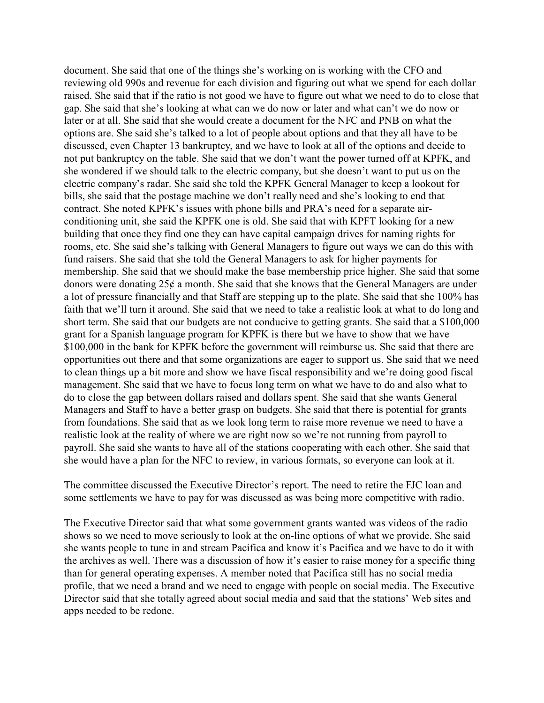document. She said that one of the things she's working on is working with the CFO and reviewing old 990s and revenue for each division and figuring out what we spend for each dollar raised. She said that if the ratio is not good we have to figure out what we need to do to close that gap. She said that she's looking at what can we do now or later and what can't we do now or later or at all. She said that she would create a document for the NFC and PNB on what the options are. She said she's talked to a lot of people about options and that they all have to be discussed, even Chapter 13 bankruptcy, and we have to look at all of the options and decide to not put bankruptcy on the table. She said that we don't want the power turned off at KPFK, and she wondered if we should talk to the electric company, but she doesn't want to put us on the electric company's radar. She said she told the KPFK General Manager to keep a lookout for bills, she said that the postage machine we don't really need and she's looking to end that contract. She noted KPFK's issues with phone bills and PRA's need for a separate airconditioning unit, she said the KPFK one is old. She said that with KPFT looking for a new building that once they find one they can have capital campaign drives for naming rights for rooms, etc. She said she's talking with General Managers to figure out ways we can do this with fund raisers. She said that she told the General Managers to ask for higher payments for membership. She said that we should make the base membership price higher. She said that some donors were donating 25¢ a month. She said that she knows that the General Managers are under a lot of pressure financially and that Staff are stepping up to the plate. She said that she 100% has faith that we'll turn it around. She said that we need to take a realistic look at what to do long and short term. She said that our budgets are not conducive to getting grants. She said that a \$100,000 grant for a Spanish language program for KPFK is there but we have to show that we have \$100,000 in the bank for KPFK before the government will reimburse us. She said that there are opportunities out there and that some organizations are eager to support us. She said that we need to clean things up a bit more and show we have fiscal responsibility and we're doing good fiscal management. She said that we have to focus long term on what we have to do and also what to do to close the gap between dollars raised and dollars spent. She said that she wants General Managers and Staff to have a better grasp on budgets. She said that there is potential for grants from foundations. She said that as we look long term to raise more revenue we need to have a realistic look at the reality of where we are right now so we're not running from payroll to payroll. She said she wants to have all of the stations cooperating with each other. She said that she would have a plan for the NFC to review, in various formats, so everyone can look at it.

The committee discussed the Executive Director's report. The need to retire the FJC loan and some settlements we have to pay for was discussed as was being more competitive with radio.

The Executive Director said that what some government grants wanted was videos of the radio shows so we need to move seriously to look at the on-line options of what we provide. She said she wants people to tune in and stream Pacifica and know it's Pacifica and we have to do it with the archives as well. There was a discussion of how it's easier to raise money for a specific thing than for general operating expenses. A member noted that Pacifica still has no social media profile, that we need a brand and we need to engage with people on social media. The Executive Director said that she totally agreed about social media and said that the stations' Web sites and apps needed to be redone.